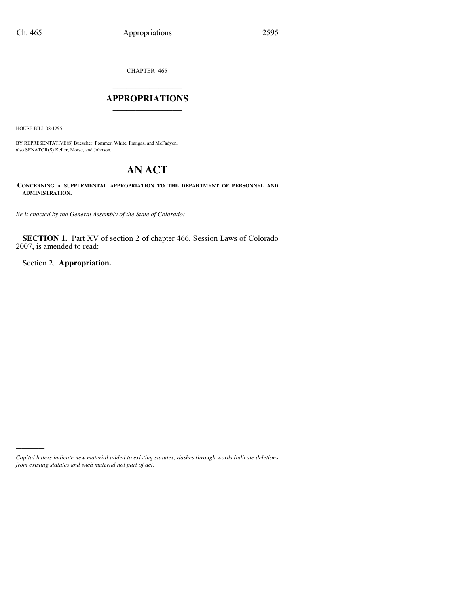CHAPTER 465

## $\mathcal{L}_\text{max}$  . The set of the set of the set of the set of the set of the set of the set of the set of the set of the set of the set of the set of the set of the set of the set of the set of the set of the set of the set **APPROPRIATIONS** \_\_\_\_\_\_\_\_\_\_\_\_\_\_\_

HOUSE BILL 08-1295

)))))

BY REPRESENTATIVE(S) Buescher, Pommer, White, Frangas, and McFadyen; also SENATOR(S) Keller, Morse, and Johnson.

# **AN ACT**

**CONCERNING A SUPPLEMENTAL APPROPRIATION TO THE DEPARTMENT OF PERSONNEL AND ADMINISTRATION.**

*Be it enacted by the General Assembly of the State of Colorado:*

**SECTION 1.** Part XV of section 2 of chapter 466, Session Laws of Colorado 2007, is amended to read:

Section 2. **Appropriation.**

*Capital letters indicate new material added to existing statutes; dashes through words indicate deletions from existing statutes and such material not part of act.*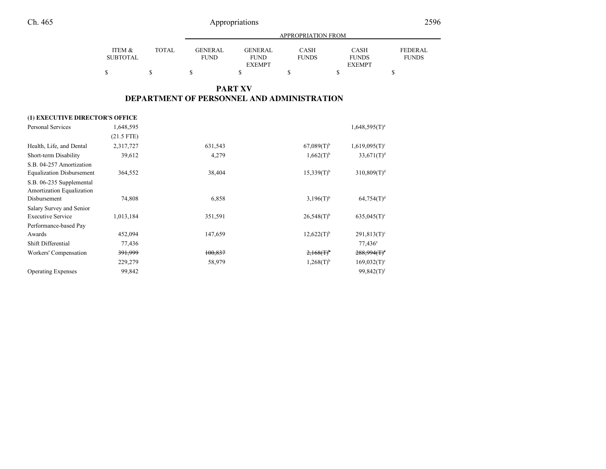|                    |       | <b>APPROPRIATION FROM</b> |                               |                             |                      |                         |  |
|--------------------|-------|---------------------------|-------------------------------|-----------------------------|----------------------|-------------------------|--|
| ITEM &<br>SUBTOTAL | TOTAL | GENER AL.<br>FUND         | <b>GENERAL</b><br><b>FUND</b> | <b>CASH</b><br><b>FUNDS</b> | CASH<br><b>FUNDS</b> | FEDERAL<br><b>FUNDS</b> |  |
|                    |       |                           | <b>EXEMPT</b>                 |                             | <b>EXEMPT</b>        |                         |  |
| \$                 |       |                           |                               |                             |                      |                         |  |

### **PART XVDEPARTMENT OF PERSONNEL AND ADMINISTRATION**

### **(1) EXECUTIVE DIRECTOR'S OFFICE**

| Personal Services                                                     | 1,648,595          |         |                          | $1,648,595(T)^a$            |
|-----------------------------------------------------------------------|--------------------|---------|--------------------------|-----------------------------|
|                                                                       | $(21.5$ FTE)       |         |                          |                             |
| Health, Life, and Dental                                              | 2,317,727          | 631,543 | $67,089(T)$ <sup>b</sup> | $1,619,095(T)$ <sup>c</sup> |
| Short-term Disability                                                 | 39,612             | 4,279   | $1,662(T)^{b}$           | $33,671(T)^d$               |
| S.B. 04-257 Amortization<br><b>Equalization Disbursement</b>          | 364,552            | 38,404  | $15,339(T)^{b}$          | 310,809(T) <sup>d</sup>     |
| S.B. 06-235 Supplemental<br>Amortization Equalization<br>Disbursement | 74,808             | 6,858   | $3,196(T)^{b}$           | 64,754(T) <sup>d</sup>      |
|                                                                       |                    |         |                          |                             |
| Salary Survey and Senior<br><b>Executive Service</b>                  | 1,013,184          | 351,591 | $26,548(T)$ <sup>b</sup> | $635,045(T)$ <sup>c</sup>   |
| Performance-based Pay                                                 |                    |         |                          |                             |
| Awards                                                                | 452,094            | 147,659 | $12,622(T)$ <sup>b</sup> | $291,813(T)^c$              |
| Shift Differential                                                    | 77,436             |         |                          | $77,436^{\circ}$            |
| Workers' Compensation                                                 | <del>391,999</del> | 100,837 | $2,168(f)^6$             | 288,994(f)                  |
|                                                                       | 229,279            | 58,979  | $1,268(T)^{b}$           | $169,032(T)^c$              |
| <b>Operating Expenses</b>                                             | 99,842             |         |                          | $99,842(T)$ <sup>f</sup>    |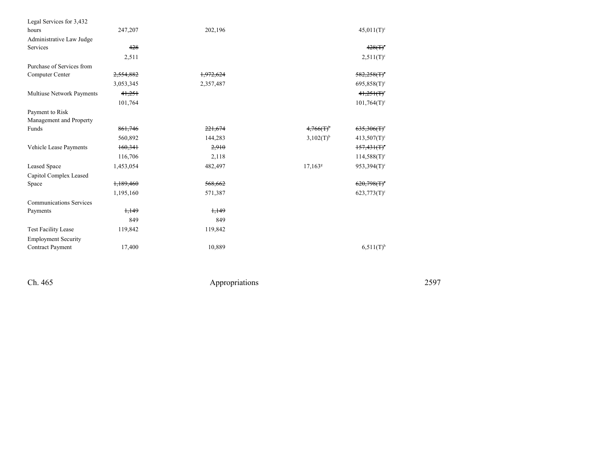| Legal Services for 3,432       |           |           |                       |                           |
|--------------------------------|-----------|-----------|-----------------------|---------------------------|
| hours                          | 247,207   | 202,196   |                       | $45,011(T)^c$             |
| Administrative Law Judge       |           |           |                       |                           |
| Services                       | 428       |           |                       | $428(f)$ <sup>c</sup>     |
|                                | 2,511     |           |                       | $2,511(T)^c$              |
| Purchase of Services from      |           |           |                       |                           |
| Computer Center                | 2,554,882 | 1,972,624 |                       | $582,258(f)$ <sup>c</sup> |
|                                | 3,053,345 | 2,357,487 |                       | $695,858(T)^c$            |
| Multiuse Network Payments      | 41,251    |           |                       | 41,251(T)                 |
|                                | 101,764   |           |                       | $101,764(T)$ <sup>c</sup> |
| Payment to Risk                |           |           |                       |                           |
| Management and Property        |           |           |                       |                           |
| Funds                          | 861,746   | 221,674   | $4,766(f)^6$          | $635,306(f)^c$            |
|                                | 560,892   | 144,283   | 3,102(T) <sup>b</sup> | $413,507(T)$ <sup>c</sup> |
| Vehicle Lease Payments         | 160,341   | 2,910     |                       | 157,431(T)                |
|                                | 116,706   | 2,118     |                       | $114,588(T)^c$            |
| Leased Space                   | 1,453,054 | 482,497   | $17,163^8$            | $953,394(T)$ <sup>c</sup> |
| Capitol Complex Leased         |           |           |                       |                           |
| Space                          | 1,189,460 | 568,662   |                       | $620,798(f)$ <sup>c</sup> |
|                                | 1,195,160 | 571,387   |                       | $623,773(T)$ <sup>c</sup> |
| <b>Communications Services</b> |           |           |                       |                           |
| Payments                       | 1,149     | 1,149     |                       |                           |
|                                | 849       | 849       |                       |                           |
| <b>Test Facility Lease</b>     | 119,842   | 119,842   |                       |                           |
| <b>Employment Security</b>     |           |           |                       |                           |
| Contract Payment               | 17,400    | 10,889    |                       | $6,511(T)$ <sup>h</sup>   |
|                                |           |           |                       |                           |

Ch. 465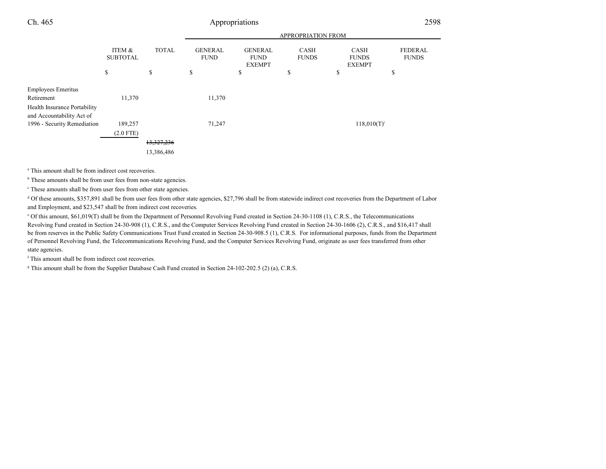|                                                           |                           |                                     | <b>APPROPRIATION FROM</b>     |                                                |                             |                                              |                                |
|-----------------------------------------------------------|---------------------------|-------------------------------------|-------------------------------|------------------------------------------------|-----------------------------|----------------------------------------------|--------------------------------|
|                                                           | ITEM &<br><b>SUBTOTAL</b> | <b>TOTAL</b>                        | <b>GENERAL</b><br><b>FUND</b> | <b>GENERAL</b><br><b>FUND</b><br><b>EXEMPT</b> | <b>CASH</b><br><b>FUNDS</b> | <b>CASH</b><br><b>FUNDS</b><br><b>EXEMPT</b> | <b>FEDERAL</b><br><b>FUNDS</b> |
|                                                           | \$                        | \$                                  | \$                            | \$                                             | \$                          | \$                                           | \$                             |
| <b>Employees Emeritus</b><br>Retirement                   | 11,370                    |                                     | 11,370                        |                                                |                             |                                              |                                |
| Health Insurance Portability<br>and Accountability Act of |                           |                                     |                               |                                                |                             |                                              |                                |
| 1996 - Security Remediation                               | 189,257<br>$(2.0$ FTE)    |                                     | 71,247                        |                                                |                             | $118,010(T)^{i}$                             |                                |
|                                                           |                           | <del>13,327,236</del><br>13,386,486 |                               |                                                |                             |                                              |                                |

<sup>a</sup> This amount shall be from indirect cost recoveries.

<sup>b</sup> These amounts shall be from user fees from non-state agencies.

c These amounts shall be from user fees from other state agencies.

<sup>d</sup> Of these amounts, \$357,891 shall be from user fees from other state agencies, \$27,796 shall be from statewide indirect cost recoveries from the Department of Labor and Employment, and \$23,547 shall be from indirect cost recoveries.

e Of this amount, \$61,019(T) shall be from the Department of Personnel Revolving Fund created in Section 24-30-1108 (1), C.R.S., the Telecommunications Revolving Fund created in Section 24-30-908 (1), C.R.S., and the Computer Services Revolving Fund created in Section 24-30-1606 (2), C.R.S., and \$16,417 shall be from reserves in the Public Safety Communications Trust Fund created in Section 24-30-908.5 (1), C.R.S. For informational purposes, funds from the Departmentof Personnel Revolving Fund, the Telecommunications Revolving Fund, and the Computer Services Revolving Fund, originate as user fees transferred from otherstate agencies.

f This amount shall be from indirect cost recoveries.

<sup>g</sup> This amount shall be from the Supplier Database Cash Fund created in Section 24-102-202.5 (2) (a), C.R.S.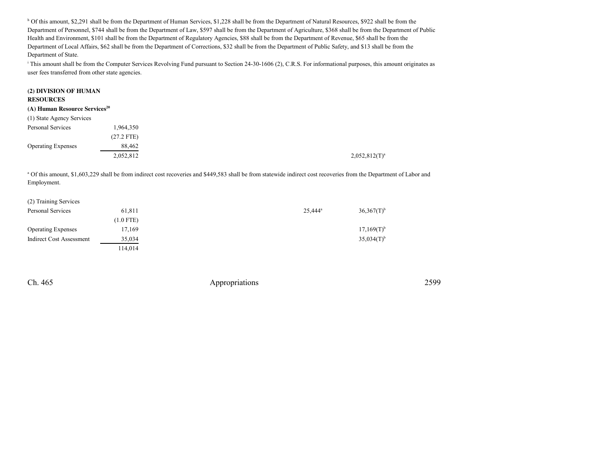h Of this amount, \$2,291 shall be from the Department of Human Services, \$1,228 shall be from the Department of Natural Resources, \$922 shall be from the Department of Personnel, \$744 shall be from the Department of Law, \$597 shall be from the Department of Agriculture, \$368 shall be from the Department of PublicHealth and Environment, \$101 shall be from the Department of Regulatory Agencies, \$88 shall be from the Department of Revenue, \$65 shall be from the Department of Local Affairs, \$62 shall be from the Department of Corrections, \$32 shall be from the Department of Public Safety, and \$13 shall be from theDepartment of State.

<sup>i</sup> This amount shall be from the Computer Services Revolving Fund pursuant to Section 24-30-1606 (2), C.R.S. For informational purposes, this amount originates as user fees transferred from other state agencies.

#### **(2) DIVISION OF HUMANRESOURCES (A) Human Resource Services<sup>20</sup>** (1) State Agency ServicesPersonal Services 1,964,350 (27.2 FTE)88,462 Operating Expenses 2,052,812 $2,052,812(T)^{a}$

<sup>a</sup> Of this amount, \$1,603,229 shall be from indirect cost recoveries and \$449,583 shall be from statewide indirect cost recoveries from the Department of Labor and Employment.

| (2) Training Services     |             |            |                          |
|---------------------------|-------------|------------|--------------------------|
| Personal Services         | 61.811      | $25,444^a$ | $36,367(T)$ <sup>b</sup> |
|                           | $(1.0$ FTE) |            |                          |
| <b>Operating Expenses</b> | 17,169      |            | $17.169(T)^{b}$          |
| Indirect Cost Assessment  | 35,034      |            | $35,034(T)$ <sup>b</sup> |
|                           | 114.014     |            |                          |

Ch. 465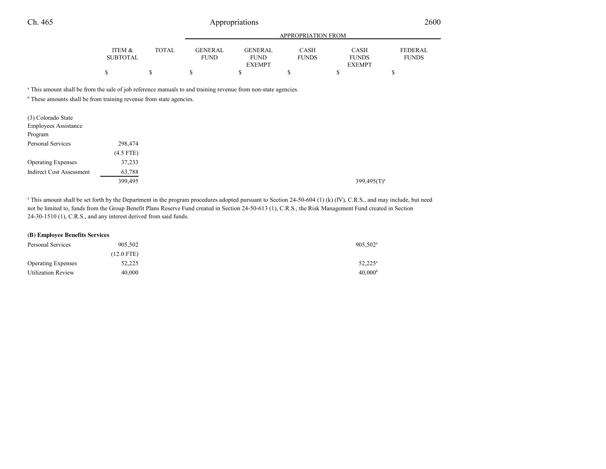|          |       | APPROPRIATION FROM |                |              |               |                |
|----------|-------|--------------------|----------------|--------------|---------------|----------------|
| ITEM &   | TOTAL | GENERAL            | <b>GENERAL</b> | <b>CASH</b>  | <b>CASH</b>   | <b>FEDERAL</b> |
| SUBTOTAL |       | <b>FUND</b>        | <b>FUND</b>    | <b>FUNDS</b> | <b>FUNDS</b>  | <b>FUNDS</b>   |
|          |       |                    | <b>EXEMPT</b>  |              | <b>EXEMPT</b> |                |
| \$       |       |                    |                |              |               |                |

a This amount shall be from the sale of job reference manuals to and training revenue from non-state agencies.

<sup>b</sup> These amounts shall be from training revenue from state agencies.

| (3) Colorado State<br><b>Employees Assistance</b><br>Program |             |
|--------------------------------------------------------------|-------------|
| <b>Personal Services</b>                                     | 298,474     |
|                                                              | $(4.5$ FTE) |
| <b>Operating Expenses</b>                                    | 37,233      |
| <b>Indirect Cost Assessment</b>                              | 63,788      |
|                                                              | 399,495     |

<sup>a</sup> This amount shall be set forth by the Department in the program procedures adopted pursuant to Section 24-50-604 (1) (k) (IV), C.R.S., and may include, but need not be limited to, funds from the Group Benefit Plans Reserve Fund created in Section 24-50-613 (1), C.R.S., the Risk Management Fund created in Section24-30-1510 (1), C.R.S., and any interest derived from said funds.

#### **(B) Employee Benefits Services**

| Personal Services         | 905,502      | $905,502$ <sup>a</sup> |
|---------------------------|--------------|------------------------|
|                           | $(12.0$ FTE) |                        |
| <b>Operating Expenses</b> | 52,225       | $52,225^{\rm a}$       |
| <b>Utilization Review</b> | 40,000       | 40,000 <sup>b</sup>    |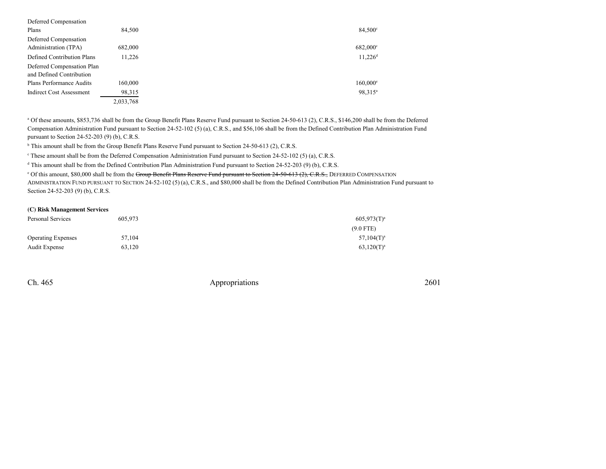| Deferred Compensation                                  |           |                        |
|--------------------------------------------------------|-----------|------------------------|
| Plans                                                  | 84,500    | $84,500^{\circ}$       |
| Deferred Compensation                                  |           |                        |
| Administration (TPA)                                   | 682,000   | 682,000°               |
| Defined Contribution Plans                             | 11.226    | $11,226$ <sup>d</sup>  |
| Deferred Compensation Plan<br>and Defined Contribution |           |                        |
| Plans Performance Audits                               | 160,000   | $160,000$ <sup>e</sup> |
| <b>Indirect Cost Assessment</b>                        | 98,315    | 98,315 <sup>a</sup>    |
|                                                        | 2,033,768 |                        |

<sup>a</sup> Of these amounts, \$853,736 shall be from the Group Benefit Plans Reserve Fund pursuant to Section 24-50-613 (2), C.R.S., \$146,200 shall be from the Deferred Compensation Administration Fund pursuant to Section 24-52-102 (5) (a), C.R.S., and \$56,106 shall be from the Defined Contribution Plan Administration Fundpursuant to Section 24-52-203 (9) (b), C.R.S.

<sup>b</sup> This amount shall be from the Group Benefit Plans Reserve Fund pursuant to Section 24-50-613 (2), C.R.S.

<sup>c</sup> These amount shall be from the Deferred Compensation Administration Fund pursuant to Section 24-52-102 (5) (a), C.R.S.

<sup>d</sup> This amount shall be from the Defined Contribution Plan Administration Fund pursuant to Section 24-52-203 (9) (b), C.R.S.

<sup>e</sup> Of this amount, \$80,000 shall be from the Group Benefit Plans Reserve Fund pursuant to Section 24-50-613 (2), C.R.S., DEFERRED COMPENSATION ADMINISTRATION FUND PURSUANT TO SECTION 24-52-102 (5) (a), C.R.S., and \$80,000 shall be from the Defined Contribution Plan Administration Fund pursuant to Section 24-52-203 (9) (b), C.R.S.

#### **(C) Risk Management Services**

| Personal Services         | 605.973 | $605.973(T)^a$ |
|---------------------------|---------|----------------|
|                           |         | $(9.0$ FTE)    |
| <b>Operating Expenses</b> | 57.104  | $57,104(T)^a$  |
| Audit Expense             | 63.120  | $63,120(T)^a$  |

Ch. 465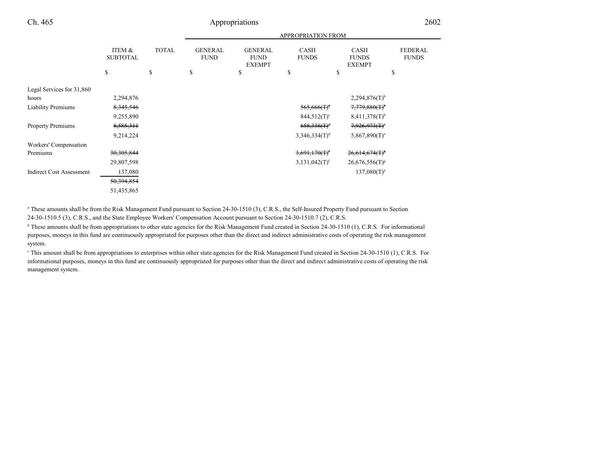|                                    |                           | <b>APPROPRIATION FROM</b> |                               |                                                |                             |                                              |                                |
|------------------------------------|---------------------------|---------------------------|-------------------------------|------------------------------------------------|-----------------------------|----------------------------------------------|--------------------------------|
|                                    | ITEM &<br><b>SUBTOTAL</b> | <b>TOTAL</b>              | <b>GENERAL</b><br><b>FUND</b> | <b>GENERAL</b><br><b>FUND</b><br><b>EXEMPT</b> | <b>CASH</b><br><b>FUNDS</b> | <b>CASH</b><br><b>FUNDS</b><br><b>EXEMPT</b> | <b>FEDERAL</b><br><b>FUNDS</b> |
|                                    | \$                        | S                         | \$                            | \$                                             | \$                          | \$                                           | \$                             |
| Legal Services for 31,860<br>hours | 2,294,876                 |                           |                               |                                                |                             | $2,294,876(T)$ <sup>b</sup>                  |                                |
| <b>Liability Premiums</b>          | 8, 345, 546               |                           |                               |                                                | $565,666$ (T) <sup>c</sup>  | 7,779,880(T)                                 |                                |
|                                    | 9,255,890                 |                           |                               |                                                | $844,512(T)^c$              | $8,411,378(T)$ <sup>b</sup>                  |                                |
| Property Premiums                  | 8,585,311                 |                           |                               |                                                | $658,338(T)^d$              | $7,926,973$ (T) <sup>o</sup>                 |                                |
|                                    | 9,214,224                 |                           |                               |                                                | 3,346,334(T) <sup>d</sup>   | $5,867,890(T)^e$                             |                                |
| Workers' Compensation              |                           |                           |                               |                                                |                             |                                              |                                |
| Premiums                           | 30, 305, 844              |                           |                               |                                                | $3,691,170(T)^f$            | $26,614,674$ (T) <sup>s</sup>                |                                |
|                                    | 29,807,598                |                           |                               |                                                | 3,131,042(T) <sup>f</sup>   | $26,676,556(T)^8$                            |                                |
| <b>Indirect Cost Assessment</b>    | 137,080                   |                           |                               |                                                |                             | $137,080(T)^a$                               |                                |
|                                    | 50,394,854                |                           |                               |                                                |                             |                                              |                                |
|                                    | 51,435,865                |                           |                               |                                                |                             |                                              |                                |

<sup>a</sup> These amounts shall be from the Risk Management Fund pursuant to Section 24-30-1510 (3), C.R.S., the Self-Insured Property Fund pursuant to Section 24-30-1510.5 (3), C.R.S., and the State Employee Workers' Compensation Account pursuant to Section 24-30-1510.7 (2), C.R.S.

<sup>b</sup> These amounts shall be from appropriations to other state agencies for the Risk Management Fund created in Section 24-30-1510 (1), C.R.S. For informational purposes, moneys in this fund are continuously appropriated for purposes other than the direct and indirect administrative costs of operating the risk managementsystem.

c This amount shall be from appropriations to enterprises within other state agencies for the Risk Management Fund created in Section 24-30-1510 (1), C.R.S. For informational purposes, moneys in this fund are continuously appropriated for purposes other than the direct and indirect administrative costs of operating the riskmanagement system.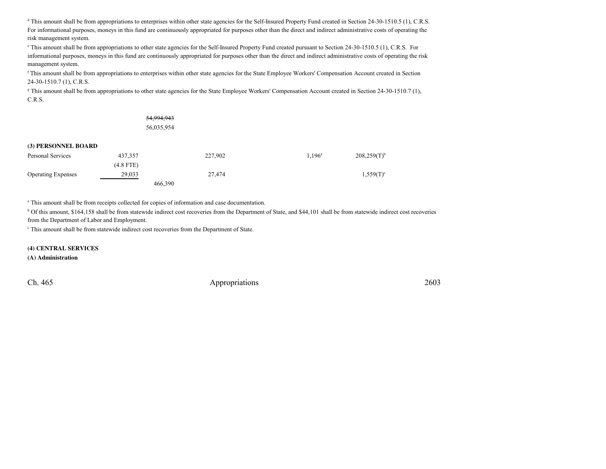<sup>d</sup> This amount shall be from appropriations to enterprises within other state agencies for the Self-Insured Property Fund created in Section 24-30-1510.5 (1), C.R.S. For informational purposes, moneys in this fund are continuously appropriated for purposes other than the direct and indirect administrative costs of operating therisk management system.

e This amount shall be from appropriations to other state agencies for the Self-Insured Property Fund created pursuant to Section 24-30-1510.5 (1), C.R.S. For informational purposes, moneys in this fund are continuously appropriated for purposes other than the direct and indirect administrative costs of operating the riskmanagement system.

<sup>f</sup> This amount shall be from appropriations to enterprises within other state agencies for the State Employee Workers' Compensation Account created in Section24-30-1510.7 (1), C.R.S.

<sup>g</sup> This amount shall be from appropriations to other state agencies for the State Employee Workers' Compensation Account created in Section 24-30-1510.7 (1), C.R.S.

|                           |             | 54,994,943 |         |           |                         |
|---------------------------|-------------|------------|---------|-----------|-------------------------|
|                           |             | 56,035,954 |         |           |                         |
| (3) PERSONNEL BOARD       |             |            |         |           |                         |
| Personal Services         | 437,357     |            | 227,902 | $1,196^a$ | $208,259(T)^{t}$        |
|                           | $(4.8$ FTE) |            |         |           |                         |
| <b>Operating Expenses</b> | 29,033      |            | 27,474  |           | $1,559(T)$ <sup>c</sup> |
|                           |             | 466,390    |         |           |                         |

<sup>a</sup> This amount shall be from receipts collected for copies of information and case documentation.

b Of this amount, \$164,158 shall be from statewide indirect cost recoveries from the Department of State, and \$44,101 shall be from statewide indirect cost recoveriesfrom the Department of Labor and Employment.

<sup>c</sup> This amount shall be from statewide indirect cost recoveries from the Department of State.

**(4) CENTRAL SERVICES**

**(A) Administration**

Ch. 465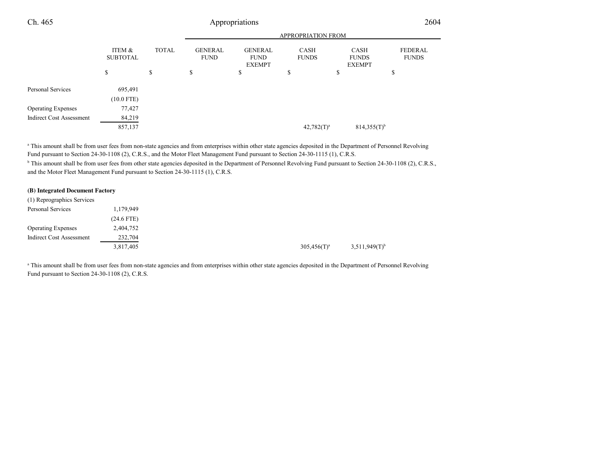| Ch. 465                         |                           |              |                               | Appropriations                                 |                             |                                              | 2604                           |
|---------------------------------|---------------------------|--------------|-------------------------------|------------------------------------------------|-----------------------------|----------------------------------------------|--------------------------------|
|                                 |                           |              |                               |                                                | <b>APPROPRIATION FROM</b>   |                                              |                                |
|                                 | ITEM &<br><b>SUBTOTAL</b> | <b>TOTAL</b> | <b>GENERAL</b><br><b>FUND</b> | <b>GENERAL</b><br><b>FUND</b><br><b>EXEMPT</b> | <b>CASH</b><br><b>FUNDS</b> | <b>CASH</b><br><b>FUNDS</b><br><b>EXEMPT</b> | <b>FEDERAL</b><br><b>FUNDS</b> |
|                                 | \$                        | \$           | \$                            | \$                                             | \$                          | \$                                           | \$                             |
| Personal Services               | 695,491                   |              |                               |                                                |                             |                                              |                                |
| <b>Operating Expenses</b>       | $(10.0$ FTE)<br>77,427    |              |                               |                                                |                             |                                              |                                |
| <b>Indirect Cost Assessment</b> | 84,219                    |              |                               |                                                |                             |                                              |                                |
|                                 | 857,137                   |              |                               |                                                | $42,782(T)^a$               | $814,355(T)$ <sup>b</sup>                    |                                |

<sup>a</sup> This amount shall be from user fees from non-state agencies and from enterprises within other state agencies deposited in the Department of Personnel Revolving Fund pursuant to Section 24-30-1108 (2), C.R.S., and the Motor Fleet Management Fund pursuant to Section 24-30-1115 (1), C.R.S.

<sup>b</sup> This amount shall be from user fees from other state agencies deposited in the Department of Personnel Revolving Fund pursuant to Section 24-30-1108 (2), C.R.S., and the Motor Fleet Management Fund pursuant to Section 24-30-1115 (1), C.R.S.

#### **(B) Integrated Document Factory**

| (1) Reprographics Services |              |                |                             |
|----------------------------|--------------|----------------|-----------------------------|
| Personal Services          | 1,179,949    |                |                             |
|                            | $(24.6$ FTE) |                |                             |
| <b>Operating Expenses</b>  | 2,404,752    |                |                             |
| Indirect Cost Assessment   | 232,704      |                |                             |
|                            | 3,817,405    | $305,456(T)^a$ | $3,511,949(T)$ <sup>b</sup> |

<sup>a</sup> This amount shall be from user fees from non-state agencies and from enterprises within other state agencies deposited in the Department of Personnel Revolving Fund pursuant to Section 24-30-1108 (2), C.R.S.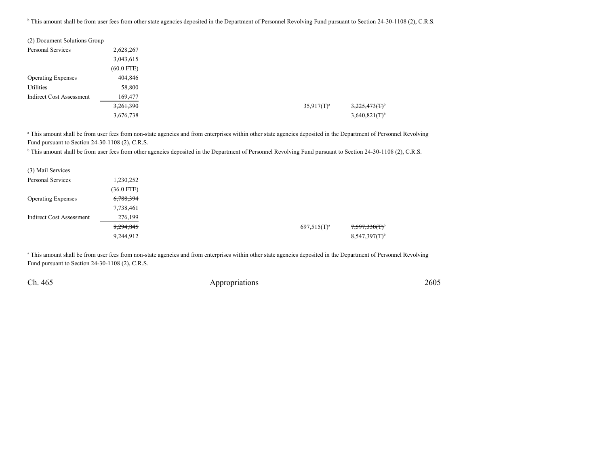<sup>b</sup> This amount shall be from user fees from other state agencies deposited in the Department of Personnel Revolving Fund pursuant to Section 24-30-1108 (2), C.R.S.

| (2) Document Solutions Group    |              |
|---------------------------------|--------------|
| Personal Services               | 2,628,267    |
|                                 | 3,043,615    |
|                                 | $(60.0$ FTE) |
| <b>Operating Expenses</b>       | 404,846      |
| Utilities                       | 58,800       |
| <b>Indirect Cost Assessment</b> | 169,477      |
|                                 | 3,261,390    |
|                                 | 3,676,738    |

<sup>a</sup> This amount shall be from user fees from non-state agencies and from enterprises within other state agencies deposited in the Department of Personnel Revolving Fund pursuant to Section 24-30-1108 (2), C.R.S.

<sup>b</sup> This amount shall be from user fees from other agencies deposited in the Department of Personnel Revolving Fund pursuant to Section 24-30-1108 (2), C.R.S.

| (3) Mail Services               |              |
|---------------------------------|--------------|
| <b>Personal Services</b>        | 1,230,252    |
|                                 | $(36.0$ FTE) |
| <b>Operating Expenses</b>       | 6,788,394    |
|                                 | 7,738,461    |
| <b>Indirect Cost Assessment</b> | 276,199      |
|                                 | 8,294,845    |
|                                 | 9,244,912    |

<sup>a</sup> This amount shall be from user fees from non-state agencies and from enterprises within other state agencies deposited in the Department of Personnel Revolving Fund pursuant to Section 24-30-1108 (2), C.R.S.

Ch. 465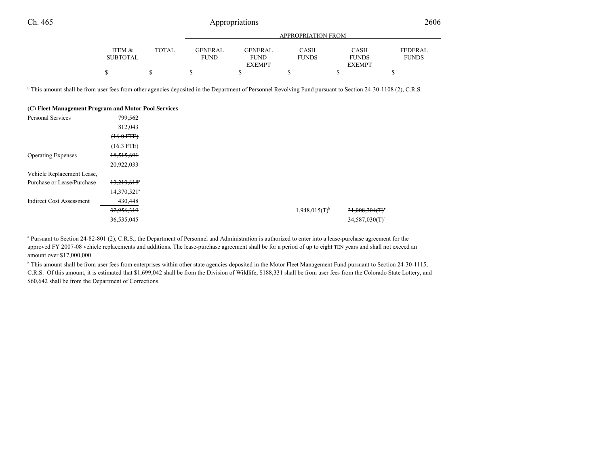|                 |       |             |                | <b>APPROPRIATION FROM</b> |               |                |
|-----------------|-------|-------------|----------------|---------------------------|---------------|----------------|
| ITEM &          | TOTAL | GENERAL     | <b>GENERAL</b> | <b>CASH</b>               | <b>CASH</b>   | <b>FEDERAL</b> |
| <b>SUBTOTAL</b> |       | <b>FUND</b> | <b>FUND</b>    | <b>FUNDS</b>              | <b>FUNDS</b>  | <b>FUNDS</b>   |
|                 |       |             | <b>EXEMPT</b>  |                           | <b>EXEMPT</b> |                |
|                 |       |             |                |                           |               |                |
|                 |       |             |                |                           |               |                |

<sup>b</sup> This amount shall be from user fees from other agencies deposited in the Department of Personnel Revolving Fund pursuant to Section 24-30-1108 (2), C.R.S.

| (C) Fleet Management Program and Motor Pool Services |                           |                             |                               |
|------------------------------------------------------|---------------------------|-----------------------------|-------------------------------|
| Personal Services                                    | 799,562                   |                             |                               |
|                                                      | 812,043                   |                             |                               |
|                                                      | $(16.0$ FTE $)$           |                             |                               |
|                                                      | $(16.3$ FTE)              |                             |                               |
| <b>Operating Expenses</b>                            | 18,515,691                |                             |                               |
|                                                      | 20,922,033                |                             |                               |
| Vehicle Replacement Lease,                           |                           |                             |                               |
| Purchase or Lease/Purchase                           | $13,210,618$ <sup>a</sup> |                             |                               |
|                                                      | 14,370,521 <sup>a</sup>   |                             |                               |
| <b>Indirect Cost Assessment</b>                      | 430,448                   |                             |                               |
|                                                      | 32,956,319                | $1,948,015(T)$ <sup>b</sup> | $31,008,304$ (T) <sup>c</sup> |
|                                                      | 36,535,045                |                             | $34,587,030(T)^c$             |

<sup>a</sup> Pursuant to Section 24-82-801 (2), C.R.S., the Department of Personnel and Administration is authorized to enter into a lease-purchase agreement for the approved FY 2007-08 vehicle replacements and additions. The lease-purchase agreement shall be for a period of up to eight TEN years and shall not exceed an amount over \$17,000,000.

<sup>b</sup> This amount shall be from user fees from enterprises within other state agencies deposited in the Motor Fleet Management Fund pursuant to Section 24-30-1115, C.R.S. Of this amount, it is estimated that \$1,699,042 shall be from the Division of Wildlife, \$188,331 shall be from user fees from the Colorado State Lottery, and\$60,642 shall be from the Department of Corrections.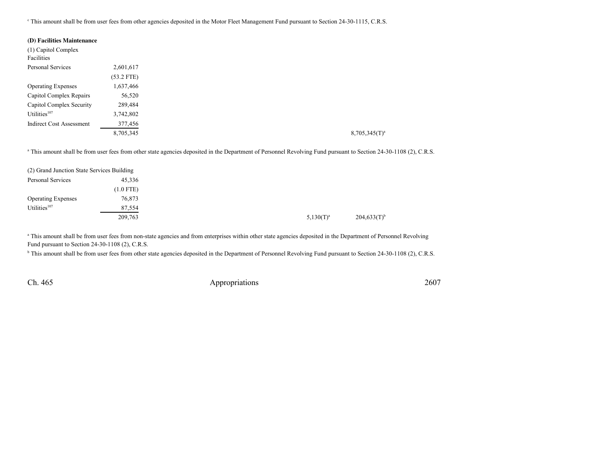<sup>e</sup> This amount shall be from user fees from other agencies deposited in the Motor Fleet Management Fund pursuant to Section 24-30-1115, C.R.S.

| (D) Facilities Maintenance |              |                                                                                                                                                                               |
|----------------------------|--------------|-------------------------------------------------------------------------------------------------------------------------------------------------------------------------------|
| (1) Capitol Complex        |              |                                                                                                                                                                               |
| Facilities                 |              |                                                                                                                                                                               |
| Personal Services          | 2,601,617    |                                                                                                                                                                               |
|                            | $(53.2$ FTE) |                                                                                                                                                                               |
| <b>Operating Expenses</b>  | 1,637,466    |                                                                                                                                                                               |
| Capitol Complex Repairs    | 56,520       |                                                                                                                                                                               |
| Capitol Complex Security   | 289,484      |                                                                                                                                                                               |
| Utilities <sup>107</sup>   | 3,742,802    |                                                                                                                                                                               |
| Indirect Cost Assessment   | 377,456      |                                                                                                                                                                               |
|                            | 8,705,345    | $8,705,345(T)^a$                                                                                                                                                              |
|                            |              |                                                                                                                                                                               |
|                            |              | <sup>a</sup> This amount shall be from user fees from other state agencies deposited in the Department of Personnel Revolving Fund pursuant to Section 24-30-1108 (2), C.R.S. |

(2) Grand Junction State Services Building45,336 Personal Services (1.0 FTE)Operating Expenses 76,873<br>Utilities<sup>107</sup> 87,554 Utilities<sup>107</sup> 209,7633  $5,130(T)^a$   $204,633(T)^b$ 

<sup>a</sup> This amount shall be from user fees from non-state agencies and from enterprises within other state agencies deposited in the Department of Personnel Revolving Fund pursuant to Section 24-30-1108 (2), C.R.S.

<sup>b</sup> This amount shall be from user fees from other state agencies deposited in the Department of Personnel Revolving Fund pursuant to Section 24-30-1108 (2), C.R.S.

Ch. 465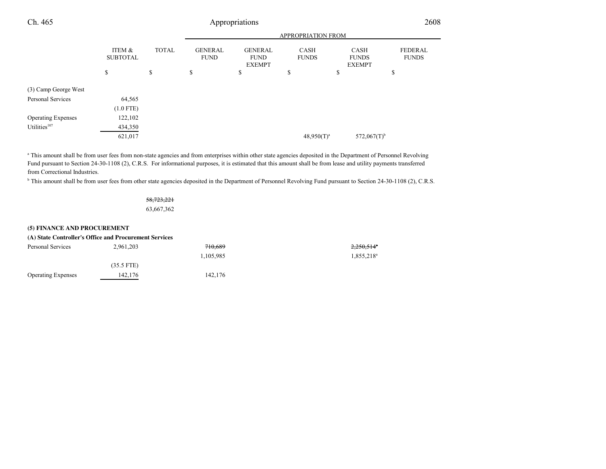| Ch. 465                   |                                      |              |                               | Appropriations                                 |                             |                                              | 2608                           |
|---------------------------|--------------------------------------|--------------|-------------------------------|------------------------------------------------|-----------------------------|----------------------------------------------|--------------------------------|
|                           |                                      |              |                               |                                                | <b>APPROPRIATION FROM</b>   |                                              |                                |
|                           | <b>ITEM &amp;</b><br><b>SUBTOTAL</b> | <b>TOTAL</b> | <b>GENERAL</b><br><b>FUND</b> | <b>GENERAL</b><br><b>FUND</b><br><b>EXEMPT</b> | <b>CASH</b><br><b>FUNDS</b> | <b>CASH</b><br><b>FUNDS</b><br><b>EXEMPT</b> | <b>FEDERAL</b><br><b>FUNDS</b> |
|                           | \$                                   | \$           | \$                            | \$                                             | \$                          | \$                                           | \$                             |
| (3) Camp George West      |                                      |              |                               |                                                |                             |                                              |                                |
| Personal Services         | 64,565                               |              |                               |                                                |                             |                                              |                                |
|                           | $(1.0$ FTE)                          |              |                               |                                                |                             |                                              |                                |
| <b>Operating Expenses</b> | 122,102                              |              |                               |                                                |                             |                                              |                                |
| Utilities <sup>107</sup>  | 434,350                              |              |                               |                                                |                             |                                              |                                |
|                           | 621,017                              |              |                               |                                                | $48,950(T)^a$               | $572,067(T)$ <sup>b</sup>                    |                                |

" This amount shall be from user fees from non-state agencies and from enterprises within other state agencies deposited in the Department of Personnel Revolving<br>Fund pursuant to Section 24-30-1108 (2), C.R.S. For informat from Correctional Industries.

<sup>b</sup> This amount shall be from user fees from other state agencies deposited in the Department of Personnel Revolving Fund pursuant to Section 24-30-1108 (2), C.R.S.

### 58,723,22163,667,362

#### **(5) FINANCE AND PROCUREMENT**

|                           | (A) State Controller's Office and Procurement Services |           |                        |
|---------------------------|--------------------------------------------------------|-----------|------------------------|
| Personal Services         | 2,961,203                                              | 710.689   | $2,250,514^{\circ}$    |
|                           |                                                        | 1.105.985 | 1,855,218 <sup>a</sup> |
|                           | $(35.5$ FTE)                                           |           |                        |
| <b>Operating Expenses</b> | 142,176                                                | 142.176   |                        |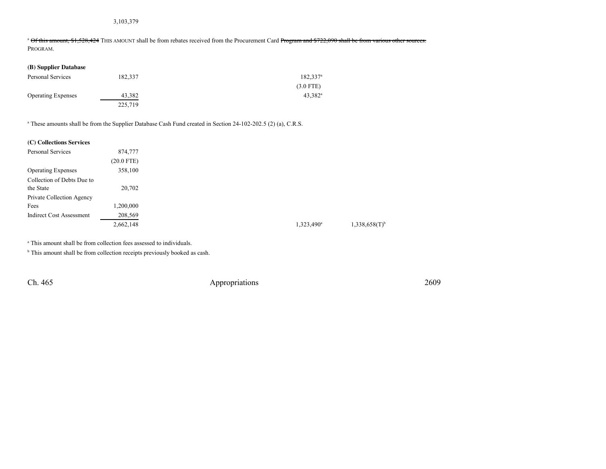### 3,103,379

<sup>a</sup> Of this amount, \$1,528,424 THIS AMOUNT shall be from rebates received from the Procurement Card Program and \$722,090 shall be from various other sources. PROGRAM.

| (B) Supplier Database     |         |                   |
|---------------------------|---------|-------------------|
| Personal Services         | 182.337 | $182,337^{\circ}$ |
|                           |         | $(3.0$ FTE)       |
| <b>Operating Expenses</b> | 43,382  | $43.382^{\rm a}$  |
|                           | 225,719 |                   |

<sup>a</sup> These amounts shall be from the Supplier Database Cash Fund created in Section 24-102-202.5 (2) (a), C.R.S.

| (C) Collections Services        |              |
|---------------------------------|--------------|
| Personal Services               | 874,777      |
|                                 | $(20.0$ FTE) |
| <b>Operating Expenses</b>       | 358,100      |
| Collection of Debts Due to      |              |
| the State                       | 20,702       |
| Private Collection Agency       |              |
| Fees                            | ,200,000     |
| <b>Indirect Cost Assessment</b> | 208,569      |
|                                 | 2,662,148    |
|                                 |              |

<sup>a</sup> This amount shall be from collection fees assessed to individuals.

 $<sup>b</sup>$  This amount shall be from collection receipts previously booked as cash.</sup>

Ch. 465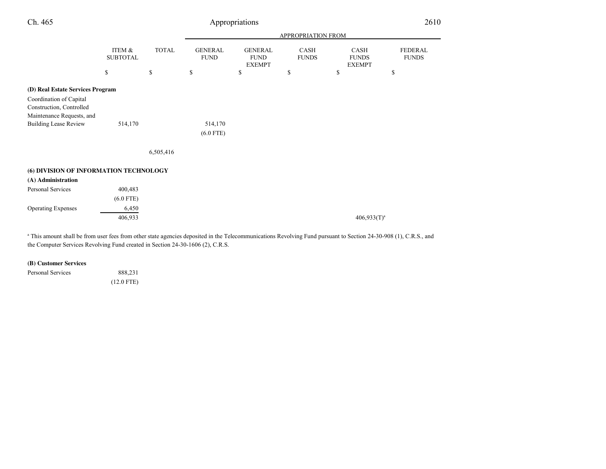| Ch. 465                                                                          | Appropriations                              |                                             |                               |                                                |                             |                                       | 2610                           |  |
|----------------------------------------------------------------------------------|---------------------------------------------|---------------------------------------------|-------------------------------|------------------------------------------------|-----------------------------|---------------------------------------|--------------------------------|--|
|                                                                                  |                                             |                                             |                               | APPROPRIATION FROM                             |                             |                                       |                                |  |
|                                                                                  | ITEM &<br><b>SUBTOTAL</b>                   | <b>TOTAL</b>                                | <b>GENERAL</b><br><b>FUND</b> | <b>GENERAL</b><br><b>FUND</b><br><b>EXEMPT</b> | <b>CASH</b><br><b>FUNDS</b> | CASH<br><b>FUNDS</b><br><b>EXEMPT</b> | <b>FEDERAL</b><br><b>FUNDS</b> |  |
|                                                                                  | $\mathbb{S}% _{n}^{X\rightarrow\mathbb{R}}$ | $\mathbb{S}% _{n}^{X\rightarrow\mathbb{R}}$ | \$                            | \$                                             | \$                          | \$                                    | \$                             |  |
| (D) Real Estate Services Program                                                 |                                             |                                             |                               |                                                |                             |                                       |                                |  |
| Coordination of Capital<br>Construction, Controlled<br>Maintenance Requests, and |                                             |                                             |                               |                                                |                             |                                       |                                |  |
| <b>Building Lease Review</b>                                                     | 514,170                                     |                                             | 514,170<br>$(6.0$ FTE)        |                                                |                             |                                       |                                |  |
|                                                                                  |                                             | 6,505,416                                   |                               |                                                |                             |                                       |                                |  |
| (6) DIVISION OF INFORMATION TECHNOLOGY                                           |                                             |                                             |                               |                                                |                             |                                       |                                |  |
| (A) Administration                                                               |                                             |                                             |                               |                                                |                             |                                       |                                |  |
| Personal Services                                                                | 400,483<br>$(6.0$ FTE)                      |                                             |                               |                                                |                             |                                       |                                |  |
| <b>Operating Expenses</b>                                                        | 6,450                                       |                                             |                               |                                                |                             |                                       |                                |  |
|                                                                                  | 406,933                                     |                                             |                               |                                                |                             | $406,933(T)^a$                        |                                |  |

<sup>a</sup> This amount shall be from user fees from other state agencies deposited in the Telecommunications Revolving Fund pursuant to Section 24-30-908 (1), C.R.S., and the Computer Services Revolving Fund created in Section 24-30-1606 (2), C.R.S.

#### **(B) Customer Services**

Personal Services 888,231 (12.0 FTE)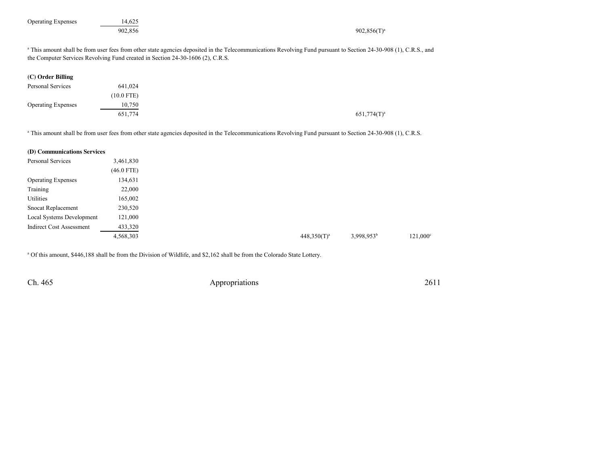| <b>Operating Expenses</b>       | 14,625<br>902,856 | $902,856(T)^a$                                                                                                                                                                                                                                                 |                   |
|---------------------------------|-------------------|----------------------------------------------------------------------------------------------------------------------------------------------------------------------------------------------------------------------------------------------------------------|-------------------|
|                                 |                   | <sup>a</sup> This amount shall be from user fees from other state agencies deposited in the Telecommunications Revolving Fund pursuant to Section 24-30-908 (1), C.R.S., and<br>the Computer Services Revolving Fund created in Section 24-30-1606 (2), C.R.S. |                   |
| (C) Order Billing               |                   |                                                                                                                                                                                                                                                                |                   |
| Personal Services               | 641,024           |                                                                                                                                                                                                                                                                |                   |
|                                 | $(10.0$ FTE)      |                                                                                                                                                                                                                                                                |                   |
| <b>Operating Expenses</b>       | 10,750            |                                                                                                                                                                                                                                                                |                   |
|                                 | 651,774           | $651,774(T)^a$                                                                                                                                                                                                                                                 |                   |
| (D) Communications Services     |                   | <sup>a</sup> This amount shall be from user fees from other state agencies deposited in the Telecommunications Revolving Fund pursuant to Section 24-30-908 (1), C.R.S.                                                                                        |                   |
| Personal Services               | 3,461,830         |                                                                                                                                                                                                                                                                |                   |
|                                 | $(46.0$ FTE)      |                                                                                                                                                                                                                                                                |                   |
| <b>Operating Expenses</b>       | 134,631           |                                                                                                                                                                                                                                                                |                   |
| Training                        | 22,000            |                                                                                                                                                                                                                                                                |                   |
| Utilities                       | 165,002           |                                                                                                                                                                                                                                                                |                   |
| Snocat Replacement              | 230,520           |                                                                                                                                                                                                                                                                |                   |
| Local Systems Development       | 121,000           |                                                                                                                                                                                                                                                                |                   |
| <b>Indirect Cost Assessment</b> | 433,320           |                                                                                                                                                                                                                                                                |                   |
|                                 | 4,568,303         | 3,998,953 <sup>b</sup><br>$448.350(T)^a$                                                                                                                                                                                                                       | $121,000^{\circ}$ |

<sup>a</sup> Of this amount, \$446,188 shall be from the Division of Wildlife, and \$2,162 shall be from the Colorado State Lottery.

Ch. 465

Appropriations <sup>2611</sup>

3  $448,350(T)^a$   $3,998,953^b$  121,000<sup>c</sup>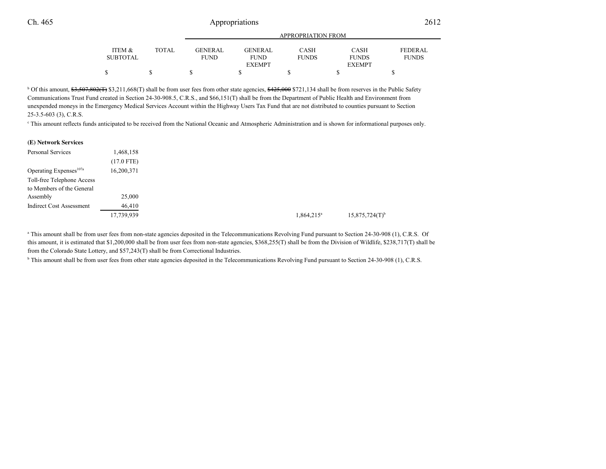|                           |              | APPROPRIATION FROM            |                        |                             |                             |                                |
|---------------------------|--------------|-------------------------------|------------------------|-----------------------------|-----------------------------|--------------------------------|
| ITEM &<br><b>SUBTOTAL</b> | <b>TOTAL</b> | <b>GENERAL</b><br><b>FUND</b> | GENERAL<br><b>FUND</b> | <b>CASH</b><br><b>FUNDS</b> | <b>CASH</b><br><b>FUNDS</b> | <b>FEDERAL</b><br><b>FUNDS</b> |
|                           |              |                               | <b>EXEMPT</b>          |                             | <b>EXEMPT</b>               |                                |
|                           |              |                               |                        |                             |                             |                                |

<sup>b</sup> Of this amount,  $\frac{63,507,802(f)}{3,211,668(f)}$  shall be from user fees from other state agencies,  $\frac{6425,000}{271,134}$  shall be from reserves in the Public Safety Communications Trust Fund created in Section 24-30-908.5, C.R.S., and \$66,151(T) shall be from the Department of Public Health and Environment from unexpended moneys in the Emergency Medical Services Account within the Highway Users Tax Fund that are not distributed to counties pursuant to Section25-3.5-603 (3), C.R.S.

c This amount reflects funds anticipated to be received from the National Oceanic and Atmospheric Administration and is shown for informational purposes only.

| (E) Network Services               |              |               |                              |
|------------------------------------|--------------|---------------|------------------------------|
| Personal Services                  | 1,468,158    |               |                              |
|                                    | $(17.0$ FTE) |               |                              |
| Operating Expenses <sup>107a</sup> | 16,200,371   |               |                              |
| Toll-free Telephone Access         |              |               |                              |
| to Members of the General          |              |               |                              |
| Assembly                           | 25,000       |               |                              |
| <b>Indirect Cost Assessment</b>    | 46,410       |               |                              |
|                                    | 17,739,939   | $1,864,215^a$ | $15,875,724(T)$ <sup>b</sup> |
|                                    |              |               |                              |

<sup>a</sup> This amount shall be from user fees from non-state agencies deposited in the Telecommunications Revolving Fund pursuant to Section 24-30-908 (1), C.R.S. Of this amount, it is estimated that \$1,200,000 shall be from user fees from non-state agencies, \$368,255(T) shall be from the Division of Wildlife, \$238,717(T) shall befrom the Colorado State Lottery, and \$57,243(T) shall be from Correctional Industries.

<sup>b</sup> This amount shall be from user fees from other state agencies deposited in the Telecommunications Revolving Fund pursuant to Section 24-30-908 (1), C.R.S.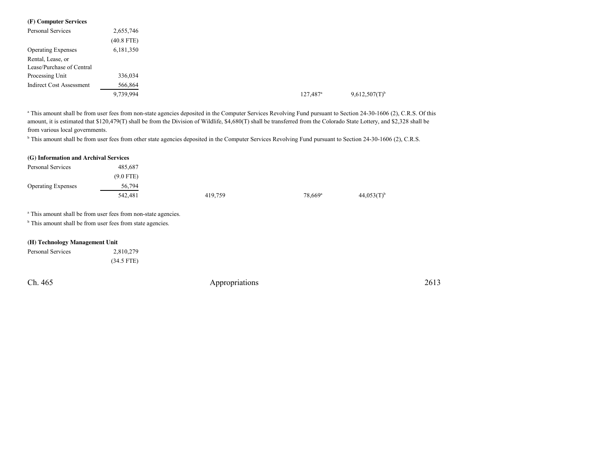| (F) Computer Services           |              |
|---------------------------------|--------------|
| Personal Services               | 2,655,746    |
|                                 | $(40.8$ FTE) |
| <b>Operating Expenses</b>       | 6,181,350    |
| Rental, Lease, or               |              |
| Lease/Purchase of Central       |              |
| Processing Unit                 | 336,034      |
| <b>Indirect Cost Assessment</b> | 566,864      |
|                                 | 9,739,994    |

<sup>a</sup> This amount shall be from user fees from non-state agencies deposited in the Computer Services Revolving Fund pursuant to Section 24-30-1606 (2), C.R.S. Of this amount, it is estimated that \$120,479(T) shall be from the Division of Wildlife, \$4,680(T) shall be transferred from the Colorado State Lottery, and \$2,328 shall befrom various local governments.

<sup>b</sup> This amount shall be from user fees from other state agencies deposited in the Computer Services Revolving Fund pursuant to Section 24-30-1606 (2), C.R.S.

| (G) Information and Archival Services |             |         |                       |                          |
|---------------------------------------|-------------|---------|-----------------------|--------------------------|
| Personal Services                     | 485,687     |         |                       |                          |
|                                       | $(9.0$ FTE) |         |                       |                          |
| <b>Operating Expenses</b>             | 56,794      |         |                       |                          |
|                                       | 542.481     | 419,759 | $78.669$ <sup>a</sup> | $44.053(T)$ <sup>b</sup> |

<sup>a</sup> This amount shall be from user fees from non-state agencies.

<sup>b</sup> This amount shall be from user fees from state agencies.

### **(H) Technology Management Unit**

| Personal Services | 2,810,279    |  |
|-------------------|--------------|--|
|                   | $(34.5$ FTE) |  |

Ch. 465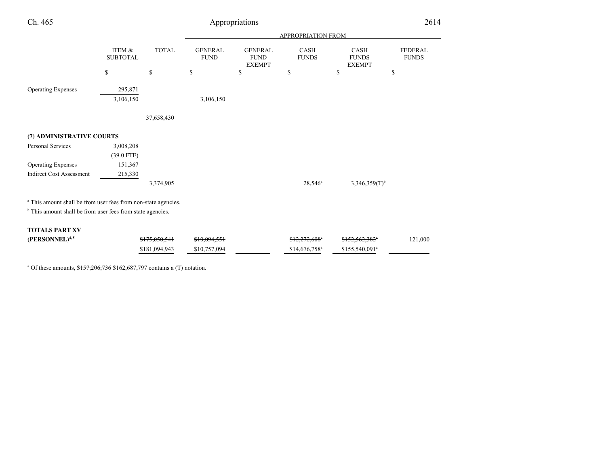| Ch. 465                                                                   |                           |               |                               | Appropriations                                 |                             |                                              | 2614                           |
|---------------------------------------------------------------------------|---------------------------|---------------|-------------------------------|------------------------------------------------|-----------------------------|----------------------------------------------|--------------------------------|
|                                                                           |                           |               |                               |                                                | <b>APPROPRIATION FROM</b>   |                                              |                                |
|                                                                           | ITEM &<br><b>SUBTOTAL</b> | <b>TOTAL</b>  | <b>GENERAL</b><br><b>FUND</b> | <b>GENERAL</b><br><b>FUND</b><br><b>EXEMPT</b> | <b>CASH</b><br><b>FUNDS</b> | <b>CASH</b><br><b>FUNDS</b><br><b>EXEMPT</b> | <b>FEDERAL</b><br><b>FUNDS</b> |
|                                                                           | \$                        | \$            | \$                            | \$                                             | \$                          | \$                                           | \$                             |
| <b>Operating Expenses</b>                                                 | 295,871                   |               |                               |                                                |                             |                                              |                                |
|                                                                           | 3,106,150                 |               | 3,106,150                     |                                                |                             |                                              |                                |
|                                                                           |                           | 37,658,430    |                               |                                                |                             |                                              |                                |
| (7) ADMINISTRATIVE COURTS                                                 |                           |               |                               |                                                |                             |                                              |                                |
| Personal Services                                                         | 3,008,208                 |               |                               |                                                |                             |                                              |                                |
|                                                                           | $(39.0$ FTE)              |               |                               |                                                |                             |                                              |                                |
| <b>Operating Expenses</b>                                                 | 151,367                   |               |                               |                                                |                             |                                              |                                |
| <b>Indirect Cost Assessment</b>                                           | 215,330                   |               |                               |                                                |                             |                                              |                                |
|                                                                           |                           | 3,374,905     |                               |                                                | $28,546^a$                  | $3,346,359(T)$ <sup>b</sup>                  |                                |
| <sup>a</sup> This amount shall be from user fees from non-state agencies. |                           |               |                               |                                                |                             |                                              |                                |
| <sup>b</sup> This amount shall be from user fees from state agencies.     |                           |               |                               |                                                |                             |                                              |                                |
| <b>TOTALS PART XV</b>                                                     |                           |               |                               |                                                |                             |                                              |                                |
| (PERSONNEL) <sup>4,5</sup>                                                |                           | \$175,050,541 | \$10,094,551                  |                                                | \$12,272,608"               | \$152,562,382 <sup>e</sup>                   | 121,000                        |
|                                                                           |                           | \$181,094,943 | \$10,757,094                  |                                                | $$14,676,758$ <sup>a</sup>  | \$155,540,091 <sup>a</sup>                   |                                |

<sup>a</sup> Of these amounts,  $$157,206,736$  \$162,687,797 contains a (T) notation.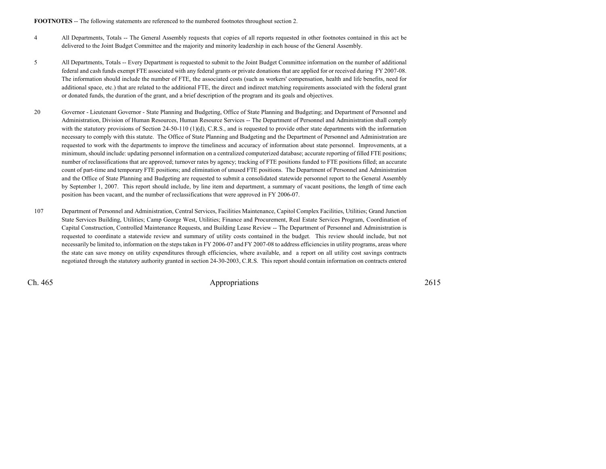**FOOTNOTES** -- The following statements are referenced to the numbered footnotes throughout section 2.

- <sup>4</sup> All Departments, Totals -- The General Assembly requests that copies of all reports requested in other footnotes contained in this act be delivered to the Joint Budget Committee and the majority and minority leadership in each house of the General Assembly.
- <sup>5</sup> All Departments, Totals -- Every Department is requested to submit to the Joint Budget Committee information on the number of additional federal and cash funds exempt FTE associated with any federal grants or private donations that are applied for or received during FY 2007-08.The information should include the number of FTE, the associated costs (such as workers' compensation, health and life benefits, need foradditional space, etc.) that are related to the additional FTE, the direct and indirect matching requirements associated with the federal grantor donated funds, the duration of the grant, and a brief description of the program and its goals and objectives.
- <sup>20</sup> Governor Lieutenant Governor State Planning and Budgeting, Office of State Planning and Budgeting; and Department of Personnel and Administration, Division of Human Resources, Human Resource Services -- The Department of Personnel and Administration shall complywith the statutory provisions of Section 24-50-110 (1)(d), C.R.S., and is requested to provide other state departments with the information necessary to comply with this statute. The Office of State Planning and Budgeting and the Department of Personnel and Administration are requested to work with the departments to improve the timeliness and accuracy of information about state personnel. Improvements, at a minimum, should include: updating personnel information on a centralized computerized database; accurate reporting of filled FTE positions; number of reclassifications that are approved; turnover rates by agency; tracking of FTE positions funded to FTE positions filled; an accurate count of part-time and temporary FTE positions; and elimination of unused FTE positions. The Department of Personnel and Administration and the Office of State Planning and Budgeting are requested to submit a consolidated statewide personnel report to the General Assembly by September 1, 2007. This report should include, by line item and department, a summary of vacant positions, the length of time eachposition has been vacant, and the number of reclassifications that were approved in FY 2006-07.
- <sup>107</sup> Department of Personnel and Administration, Central Services, Facilities Maintenance, Capitol Complex Facilities, Utilities; Grand Junction State Services Building, Utilities; Camp George West, Utilities; Finance and Procurement, Real Estate Services Program, Coordination ofCapital Construction, Controlled Maintenance Requests, and Building Lease Review -- The Department of Personnel and Administration is requested to coordinate a statewide review and summary of utility costs contained in the budget. This review should include, but not necessarily be limited to, information on the steps taken in FY 2006-07 and FY 2007-08 to address efficiencies in utility programs, areas where the state can save money on utility expenditures through efficiencies, where available, and a report on all utility cost savings contractsnegotiated through the statutory authority granted in section 24-30-2003, C.R.S. This report should contain information on contracts entered

Ch. 465